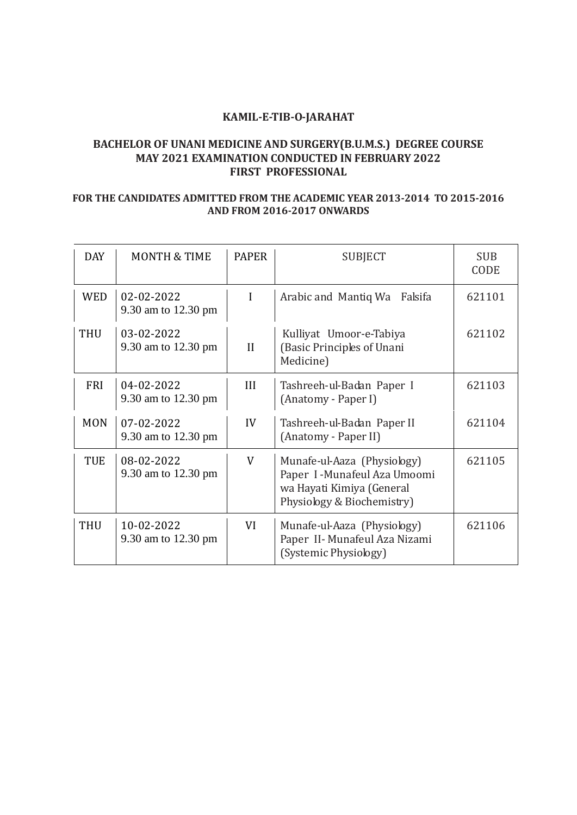#### **KAMIL-E-TIB-O-JARAHAT**

# **BACHELOR OF UNANI MEDICINE AND SURGERY(B.U.M.S.) DEGREE COURSE MAY 2021 EXAMINATION CONDUCTED IN FEBRUARY 2022 FIRST PROFESSIONAL**

# **FOR THE CANDIDATES ADMITTED FROM THE ACADEMIC YEAR 2013-2014 TO 2015-2016 AND FROM 2016-2017 ONWARDS**

 $\overline{a}$ 

| <b>DAY</b> | <b>MONTH &amp; TIME</b>           | <b>PAPER</b> | <b>SUBJECT</b>                                                                                                          | <b>SUB</b><br>CODE |
|------------|-----------------------------------|--------------|-------------------------------------------------------------------------------------------------------------------------|--------------------|
| <b>WED</b> | 02-02-2022<br>9.30 am to 12.30 pm | I            | Arabic and Mantiq Wa<br>Falsifa                                                                                         | 621101             |
| <b>THU</b> | 03-02-2022<br>9.30 am to 12.30 pm | II           | Kulliyat Umoor-e-Tabiya<br>(Basic Principles of Unani<br>Medicine)                                                      | 621102             |
| <b>FRI</b> | 04-02-2022<br>9.30 am to 12.30 pm | III          | Tashreeh-ul-Badan Paper I<br>(Anatomy - Paper I)                                                                        | 621103             |
| <b>MON</b> | 07-02-2022<br>9.30 am to 12.30 pm | IV           | Tashreeh-ul-Badan Paper II<br>(Anatomy - Paper II)                                                                      | 621104             |
| <b>TUE</b> | 08-02-2022<br>9.30 am to 12.30 pm | V            | Munafe-ul-Aaza (Physiology)<br>Paper I - Munafeul Aza Umoomi<br>wa Hayati Kimiya (General<br>Physiology & Biochemistry) | 621105             |
| <b>THU</b> | 10-02-2022<br>9.30 am to 12.30 pm | VI           | Munafe-ul-Aaza (Physiology)<br>Paper II- Munafeul Aza Nizami<br>(Systemic Physiology)                                   | 621106             |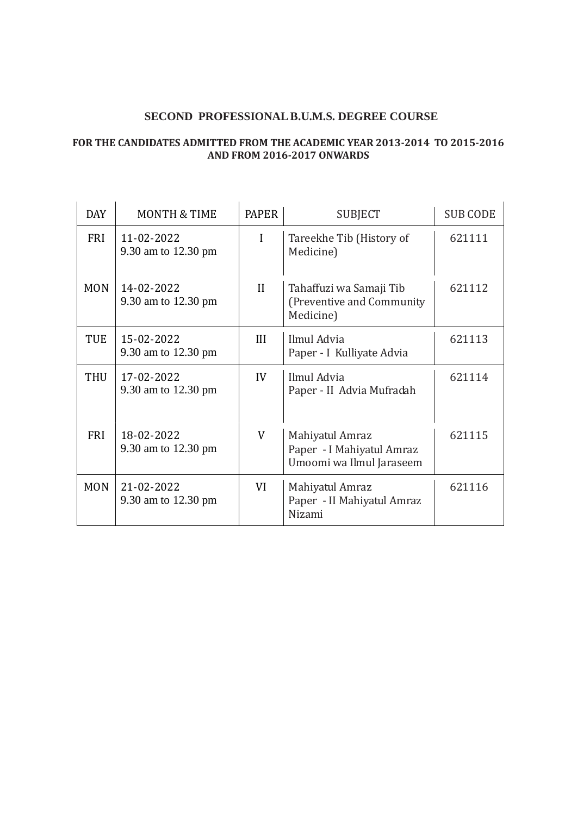# **SECOND PROFESSIONAL B.U.M.S. DEGREE COURSE**

#### **FOR THE CANDIDATES ADMITTED FROM THE ACADEMIC YEAR 2013-2014 TO 2015-2016 AND FROM 2016-2017 ONWARDS**

| <b>DAY</b> | <b>MONTH &amp; TIME</b>           | <b>PAPER</b> | <b>SUBJECT</b>                                                           | <b>SUB CODE</b> |
|------------|-----------------------------------|--------------|--------------------------------------------------------------------------|-----------------|
| FRI        | 11-02-2022<br>9.30 am to 12.30 pm | I            | Tareekhe Tib (History of<br>Medicine)                                    | 621111          |
| <b>MON</b> | 14-02-2022<br>9.30 am to 12.30 pm | $\mathbf{I}$ | Tahaffuzi wa Samaji Tib<br>(Preventive and Community)<br>Medicine)       | 621112          |
| TUE        | 15-02-2022<br>9.30 am to 12.30 pm | III          | Ilmul Advia<br>Paper - I Kulliyate Advia                                 | 621113          |
| <b>THU</b> | 17-02-2022<br>9.30 am to 12.30 pm | IV           | Ilmul Advia<br>Paper - II Advia Mufradah                                 | 621114          |
| <b>FRI</b> | 18-02-2022<br>9.30 am to 12.30 pm | V            | Mahiyatul Amraz<br>Paper - I Mahiyatul Amraz<br>Umoomi wa Ilmul Jaraseem | 621115          |
| <b>MON</b> | 21-02-2022<br>9.30 am to 12.30 pm | VI           | Mahiyatul Amraz<br>Paper - II Mahiyatul Amraz<br>Nizami                  | 621116          |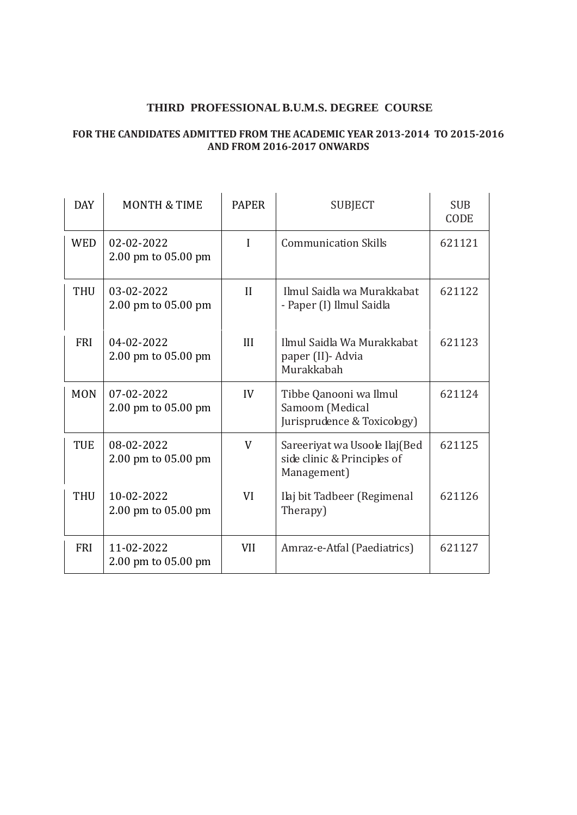### **THIRD PROFESSIONAL B.U.M.S. DEGREE COURSE**

#### **FOR THE CANDIDATES ADMITTED FROM THE ACADEMIC YEAR 2013-2014 TO 2015-2016 AND FROM 2016-2017 ONWARDS**

| <b>DAY</b> | <b>MONTH &amp; TIME</b>           | <b>PAPER</b> | <b>SUBJECT</b>                                                               | <b>SUB</b><br><b>CODE</b> |
|------------|-----------------------------------|--------------|------------------------------------------------------------------------------|---------------------------|
| <b>WED</b> | 02-02-2022<br>2.00 pm to 05.00 pm | I            | <b>Communication Skills</b>                                                  | 621121                    |
| <b>THU</b> | 03-02-2022<br>2.00 pm to 05.00 pm | $\mathbf{H}$ | Ilmul Saidla wa Murakkabat<br>- Paper (I) Ilmul Saidla                       | 621122                    |
| <b>FRI</b> | 04-02-2022<br>2.00 pm to 05.00 pm | III          | Ilmul Saidla Wa Murakkabat<br>paper (II) - Advia<br>Murakkabah               | 621123                    |
| <b>MON</b> | 07-02-2022<br>2.00 pm to 05.00 pm | IV           | Tibbe Qanooni wa Ilmul<br>Samoom (Medical<br>Jurisprudence & Toxicology)     | 621124                    |
| <b>TUE</b> | 08-02-2022<br>2.00 pm to 05.00 pm | V            | Sareeriyat wa Usoole Ilaj (Bed<br>side clinic & Principles of<br>Management) | 621125                    |
| <b>THU</b> | 10-02-2022<br>2.00 pm to 05.00 pm | VI           | Ilaj bit Tadbeer (Regimenal<br>Therapy)                                      | 621126                    |
| <b>FRI</b> | 11-02-2022<br>2.00 pm to 05.00 pm | <b>VII</b>   | Amraz-e-Atfal (Paediatrics)                                                  | 621127                    |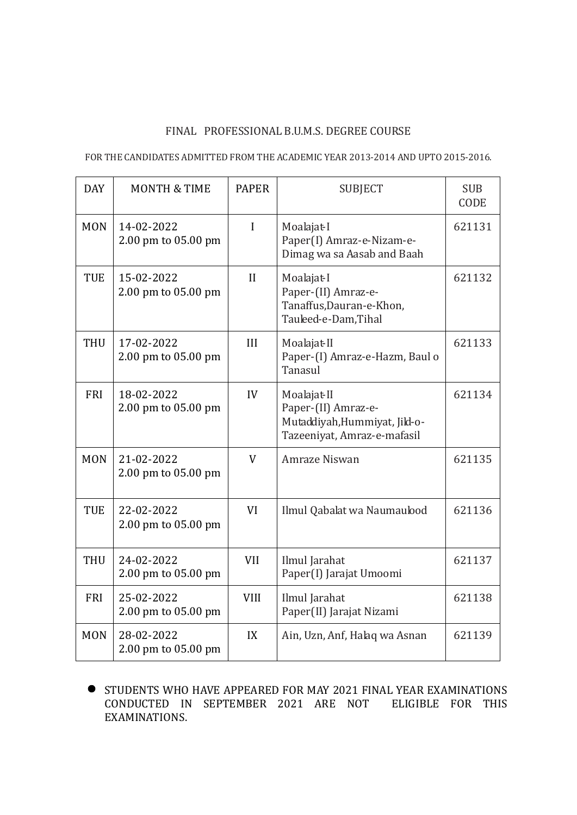#### FINAL PROFESSIONAL B.U.M.S. DEGREE COURSE

#### FOR THE CANDIDATES ADMITTED FROM THE ACADEMIC YEAR 2013-2014 AND UPTO 2015-2016.

| <b>DAY</b> | <b>MONTH &amp; TIME</b>           | <b>PAPER</b> | <b>SUBJECT</b>                                                                                     | <b>SUB</b><br>CODE |
|------------|-----------------------------------|--------------|----------------------------------------------------------------------------------------------------|--------------------|
| <b>MON</b> | 14-02-2022<br>2.00 pm to 05.00 pm | $\mathbf{I}$ | Moalajat-I<br>Paper(I) Amraz-e-Nizam-e-<br>Dimag wa sa Aasab and Baah                              | 621131             |
| <b>TUE</b> | 15-02-2022<br>2.00 pm to 05.00 pm | II           | Moalajat-I<br>Paper-(II) Amraz-e-<br>Tanaffus, Dauran-e-Khon,<br>Tauleed-e-Dam, Tihal              | 621132             |
| <b>THU</b> | 17-02-2022<br>2.00 pm to 05.00 pm | III          | Moalajat-II<br>Paper-(I) Amraz-e-Hazm, Baul o<br>Tanasul                                           | 621133             |
| <b>FRI</b> | 18-02-2022<br>2.00 pm to 05.00 pm | IV           | Moalajat-II<br>Paper-(II) Amraz-e-<br>Mutaddiyah, Hummiyat, Jild-o-<br>Tazeeniyat, Amraz-e-mafasil | 621134             |
| <b>MON</b> | 21-02-2022<br>2.00 pm to 05.00 pm | V            | Amraze Niswan                                                                                      | 621135             |
| <b>TUE</b> | 22-02-2022<br>2.00 pm to 05.00 pm | VI           | Ilmul Qabalat wa Naumaulood                                                                        | 621136             |
| <b>THU</b> | 24-02-2022<br>2.00 pm to 05.00 pm | <b>VII</b>   | Ilmul Jarahat<br>Paper(I) Jarajat Umoomi                                                           | 621137             |
| <b>FRI</b> | 25-02-2022<br>2.00 pm to 05.00 pm | <b>VIII</b>  | Ilmul Jarahat<br>Paper(II) Jarajat Nizami                                                          | 621138             |
| <b>MON</b> | 28-02-2022<br>2.00 pm to 05.00 pm | IX           | Ain, Uzn, Anf, Halaq wa Asnan                                                                      | 621139             |

**STUDENTS WHO HAVE APPEARED FOR MAY 2021 FINAL YEAR EXAMINATIONS** CONDUCTED IN SEPTEMBER 2021 ARE NOT ELIGIBLE FOR THIS EXAMINATIONS.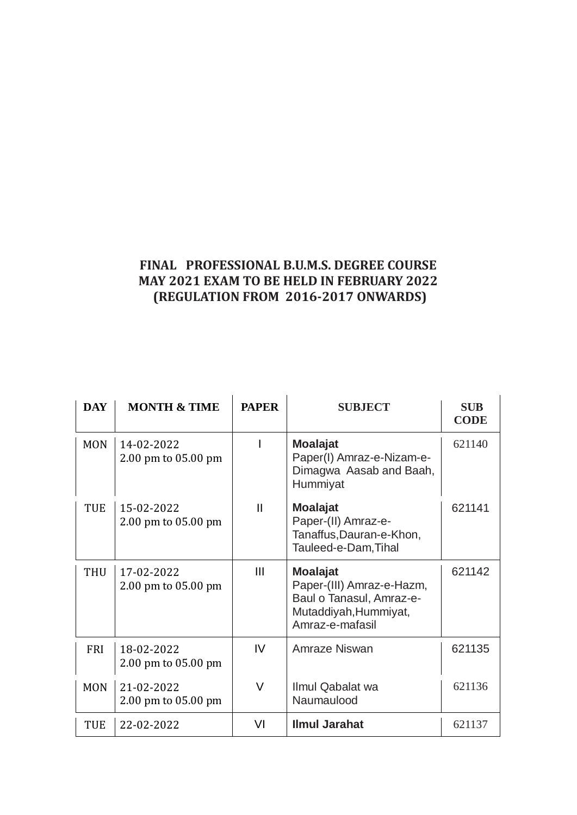# **FINAL PROFESSIONAL B.U.M.S. DEGREE COURSE MAY 2021 EXAM TO BE HELD IN FEBRUARY 2022 (REGULATION FROM 2016-2017 ONWARDS)**

| <b>DAY</b> | <b>MONTH &amp; TIME</b>           | <b>PAPER</b>  | <b>SUBJECT</b>                                                                                                       | <b>SUB</b><br><b>CODE</b> |
|------------|-----------------------------------|---------------|----------------------------------------------------------------------------------------------------------------------|---------------------------|
| <b>MON</b> | 14-02-2022<br>2.00 pm to 05.00 pm |               | <b>Moalajat</b><br>Paper(I) Amraz-e-Nizam-e-<br>Dimagwa Aasab and Baah,<br>Hummiyat                                  | 621140                    |
| TUE        | 15-02-2022<br>2.00 pm to 05.00 pm | $\mathsf{II}$ | <b>Moalajat</b><br>Paper-(II) Amraz-e-<br>Tanaffus, Dauran-e-Khon,<br>Tauleed-e-Dam, Tihal                           | 621141                    |
| <b>THU</b> | 17-02-2022<br>2.00 pm to 05.00 pm | Ш             | <b>Moalajat</b><br>Paper-(III) Amraz-e-Hazm,<br>Baul o Tanasul, Amraz-e-<br>Mutaddiyah, Hummiyat,<br>Amraz-e-mafasil | 621142                    |
| <b>FRI</b> | 18-02-2022<br>2.00 pm to 05.00 pm | IV            | Amraze Niswan                                                                                                        | 621135                    |
| <b>MON</b> | 21-02-2022<br>2.00 pm to 05.00 pm | V             | Ilmul Qabalat wa<br>Naumaulood                                                                                       | 621136                    |
| <b>TUE</b> | 22-02-2022                        | VI            | <b>Ilmul Jarahat</b>                                                                                                 | 621137                    |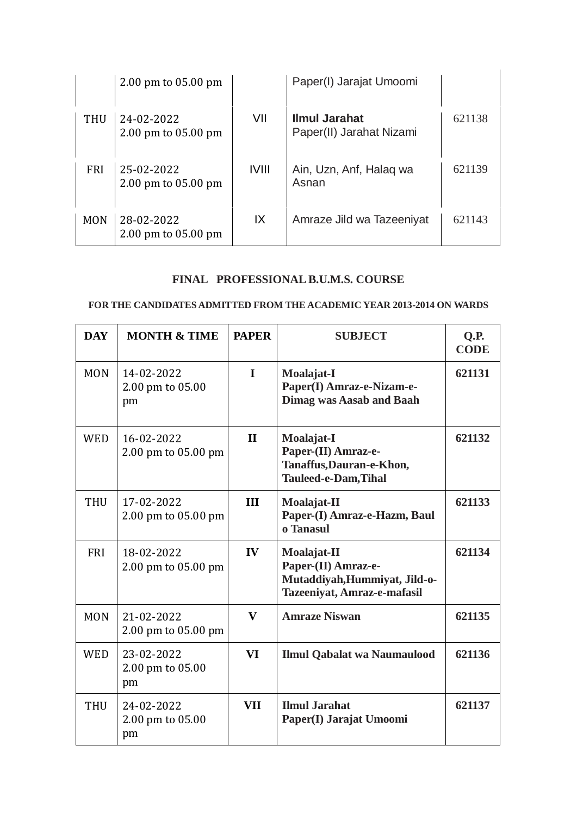|            | $2.00 \text{ pm}$ to 05.00 pm     |              | Paper(I) Jarajat Umoomi                          |        |
|------------|-----------------------------------|--------------|--------------------------------------------------|--------|
| THU        | 24-02-2022<br>2.00 pm to 05.00 pm | VII          | <b>Ilmul Jarahat</b><br>Paper(II) Jarahat Nizami | 621138 |
| <b>FRI</b> | 25-02-2022<br>2.00 pm to 05.00 pm | <b>IVIII</b> | Ain, Uzn, Anf, Halag wa<br>Asnan                 | 621139 |
| <b>MON</b> | 28-02-2022<br>2.00 pm to 05.00 pm | IX           | Amraze Jild wa Tazeeniyat                        | 621143 |

# **FINAL PROFESSIONAL B.U.M.S. COURSE**

#### **FOR THE CANDIDATES ADMITTED FROM THE ACADEMIC YEAR 2013-2014 ON WARDS**

| <b>DAY</b> | <b>MONTH &amp; TIME</b>              | <b>PAPER</b>  | <b>SUBJECT</b>                                                                                     | Q.P.<br><b>CODE</b> |
|------------|--------------------------------------|---------------|----------------------------------------------------------------------------------------------------|---------------------|
| <b>MON</b> | 14-02-2022<br>2.00 pm to 05.00<br>pm | $\mathbf{I}$  | Moalajat-I<br>Paper(I) Amraz-e-Nizam-e-<br><b>Dimag was Aasab and Baah</b>                         | 621131              |
| <b>WED</b> | 16-02-2022<br>2.00 pm to 05.00 pm    | $\mathbf{H}$  | Moalajat-I<br>Paper-(II) Amraz-e-<br>Tanaffus, Dauran-e-Khon,<br><b>Tauleed-e-Dam, Tihal</b>       | 621132              |
| <b>THU</b> | 17-02-2022<br>2.00 pm to 05.00 pm    | III           | Moalajat-II<br>Paper-(I) Amraz-e-Hazm, Baul<br>o Tanasul                                           | 621133              |
| <b>FRI</b> | 18-02-2022<br>2.00 pm to 05.00 pm    | $\mathbf{IV}$ | Moalajat-II<br>Paper-(II) Amraz-e-<br>Mutaddiyah, Hummiyat, Jild-o-<br>Tazeeniyat, Amraz-e-mafasil | 621134              |
| <b>MON</b> | 21-02-2022<br>2.00 pm to 05.00 pm    | $\mathbf{V}$  | <b>Amraze Niswan</b>                                                                               | 621135              |
| <b>WED</b> | 23-02-2022<br>2.00 pm to 05.00<br>pm | VI            | <b>Ilmul Qabalat wa Naumaulood</b>                                                                 | 621136              |
| <b>THU</b> | 24-02-2022<br>2.00 pm to 05.00<br>pm | <b>VII</b>    | <b>Ilmul Jarahat</b><br>Paper(I) Jarajat Umoomi                                                    | 621137              |